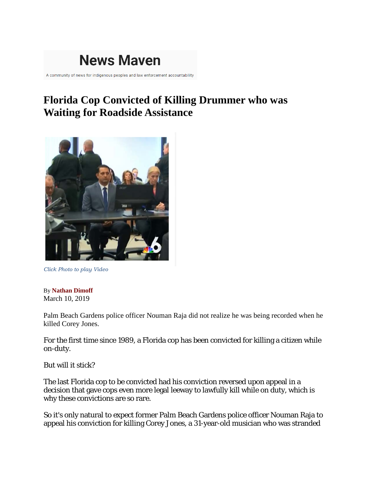

A community of news for indigenous peoples and law enforcement accountability

## **Florida Cop Convicted of Killing Drummer who was Waiting for Roadside Assistance**



*Click Photo to play Video*

By **[Nathan Dimoff](https://newsmaven.io/pinacnews/user/@Nathan%20Dimoff/)** March 10, 2019

Palm Beach Gardens police officer Nouman Raja did not realize he was being recorded when he killed Corey Jones.

For the first time since 1989, a Florida cop has been convicted for killing a citizen while on-duty.

But will it stick?

The last Florida cop to be convicted had his conviction reversed upon appeal in a decision that gave cops even more legal leeway to lawfully kill while on duty, which is why these convictions are so rare.

So it's only natural to expect former Palm Beach Gardens police officer Nouman Raja to appeal his conviction for killing Corey Jones, a 31-year-old musician who was stranded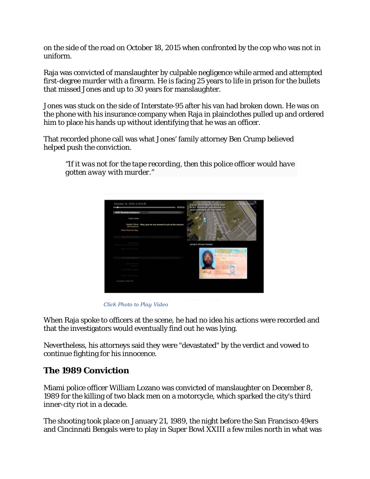on the side of the road on October 18, 2015 when confronted by the cop who was not in uniform.

Raja was convicted of manslaughter by culpable negligence while armed and attempted first-degree murder with a firearm. He is facing 25 years to life in prison for the bullets that missed Jones and up to 30 years for manslaughter.

Jones was stuck on the side of Interstate-95 after his van had broken down. He was on the phone with his insurance company when Raja in plainclothes pulled up and ordered him to place his hands up without identifying that he was an officer.

That recorded phone call was what Jones' family attorney Ben Crump believed helped push the conviction.

*"If it was not for the tape recording, then this police officer would have gotten away with murder."*



 *Click Photo to Play Video*

When Raja spoke to officers at the scene, he had no idea his actions were recorded and that the investigators would eventually find out he was lying.

Nevertheless, his attorneys said they were "devastated" by the verdict and vowed to continue fighting for his innocence.

## **The 1989 Conviction**

Miami police officer William Lozano was convicted of manslaughter on December 8, 1989 for the killing of two black men on a motorcycle, which sparked the city's third inner-city riot in a decade.

The shooting took place on January 21, 1989, the night before the San Francisco 49ers and Cincinnati Bengals were to play in Super Bowl XXIII a few miles north in what was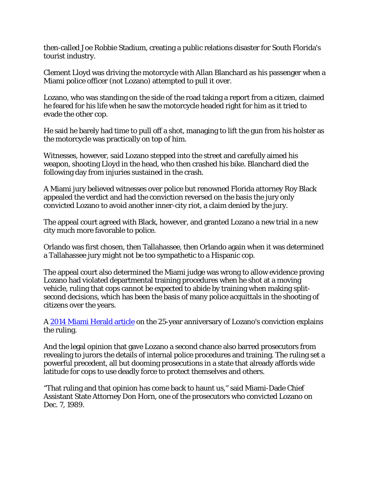then-called Joe Robbie Stadium, creating a public relations disaster for South Florida's tourist industry.

Clement Lloyd was driving the motorcycle with Allan Blanchard as his passenger when a Miami police officer (not Lozano) attempted to pull it over.

Lozano, who was standing on the side of the road taking a report from a citizen, claimed he feared for his life when he saw the motorcycle headed right for him as it tried to evade the other cop.

He said he barely had time to pull off a shot, managing to lift the gun from his holster as the motorcycle was practically on top of him.

Witnesses, however, said Lozano stepped into the street and carefully aimed his weapon, shooting Lloyd in the head, who then crashed his bike. Blanchard died the following day from injuries sustained in the crash.

A Miami jury believed witnesses over police but renowned Florida attorney Roy Black appealed the verdict and had the conviction reversed on the basis the jury only convicted Lozano to avoid another inner-city riot, a claim denied by the jury.

The appeal court agreed with Black, however, and granted Lozano a new trial in a new city much more favorable to police.

Orlando was first chosen, then Tallahassee, then Orlando again when it was determined a Tallahassee jury might not be too sympathetic to a Hispanic cop.

The appeal court also determined the Miami judge was wrong to allow evidence proving Lozano had violated departmental training procedures when he shot at a moving vehicle, ruling that cops cannot be expected to abide by training when making splitsecond decisions, which has been the basis of many police acquittals in the shooting of citizens over the years.

A [2014 Miami Herald article](https://www.royblack.com/files/news/Lozano/Lozano%20-%2025%20years%20ago-legal%20legacy.pdf) on the 25-year anniversary of Lozano's conviction explains the ruling.

And the legal opinion that gave Lozano a second chance also barred prosecutors from revealing to jurors the details of internal police procedures and training. The ruling set a powerful precedent, all but dooming prosecutions in a state that already affords wide latitude for cops to use deadly force to protect themselves and others.

"That ruling and that opinion has come back to haunt us," said Miami-Dade Chief Assistant State Attorney Don Horn, one of the prosecutors who convicted Lozano on Dec. 7, 1989.